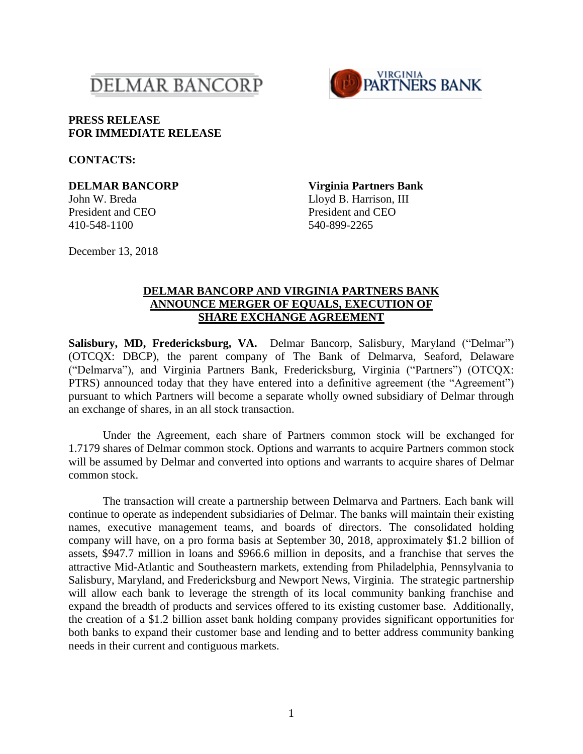



## **PRESS RELEASE FOR IMMEDIATE RELEASE**

**CONTACTS:**

410-548-1100 540-899-2265

**DELMAR BANCORP Virginia Partners Bank** John W. Breda Lloyd B. Harrison, III President and CEO President and CEO

December 13, 2018

## **DELMAR BANCORP AND VIRGINIA PARTNERS BANK ANNOUNCE MERGER OF EQUALS, EXECUTION OF SHARE EXCHANGE AGREEMENT**

**Salisbury, MD, Fredericksburg, VA.** Delmar Bancorp, Salisbury, Maryland ("Delmar") (OTCQX: DBCP), the parent company of The Bank of Delmarva, Seaford, Delaware ("Delmarva"), and Virginia Partners Bank, Fredericksburg, Virginia ("Partners") (OTCQX: PTRS) announced today that they have entered into a definitive agreement (the "Agreement") pursuant to which Partners will become a separate wholly owned subsidiary of Delmar through an exchange of shares, in an all stock transaction.

Under the Agreement, each share of Partners common stock will be exchanged for 1.7179 shares of Delmar common stock. Options and warrants to acquire Partners common stock will be assumed by Delmar and converted into options and warrants to acquire shares of Delmar common stock.

The transaction will create a partnership between Delmarva and Partners. Each bank will continue to operate as independent subsidiaries of Delmar. The banks will maintain their existing names, executive management teams, and boards of directors. The consolidated holding company will have, on a pro forma basis at September 30, 2018, approximately \$1.2 billion of assets, \$947.7 million in loans and \$966.6 million in deposits, and a franchise that serves the attractive Mid-Atlantic and Southeastern markets, extending from Philadelphia, Pennsylvania to Salisbury, Maryland, and Fredericksburg and Newport News, Virginia. The strategic partnership will allow each bank to leverage the strength of its local community banking franchise and expand the breadth of products and services offered to its existing customer base. Additionally, the creation of a \$1.2 billion asset bank holding company provides significant opportunities for both banks to expand their customer base and lending and to better address community banking needs in their current and contiguous markets.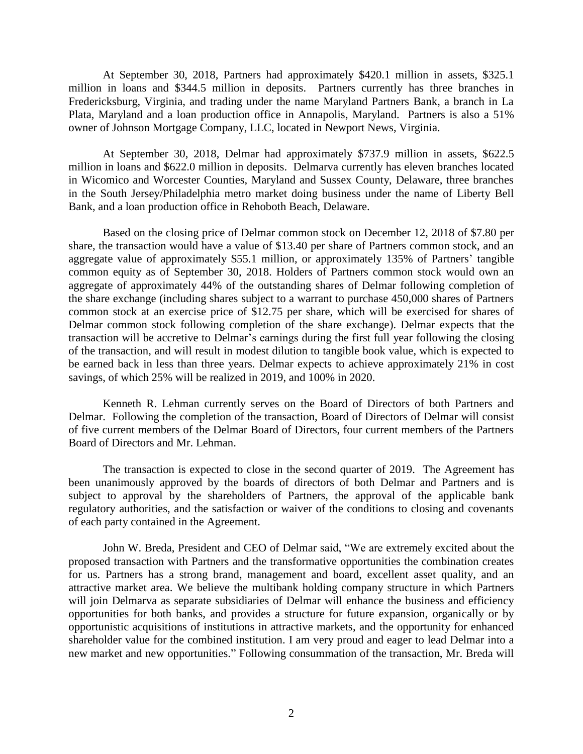At September 30, 2018, Partners had approximately \$420.1 million in assets, \$325.1 million in loans and \$344.5 million in deposits. Partners currently has three branches in Fredericksburg, Virginia, and trading under the name Maryland Partners Bank, a branch in La Plata, Maryland and a loan production office in Annapolis, Maryland. Partners is also a 51% owner of Johnson Mortgage Company, LLC, located in Newport News, Virginia.

At September 30, 2018, Delmar had approximately \$737.9 million in assets, \$622.5 million in loans and \$622.0 million in deposits. Delmarva currently has eleven branches located in Wicomico and Worcester Counties, Maryland and Sussex County, Delaware, three branches in the South Jersey/Philadelphia metro market doing business under the name of Liberty Bell Bank, and a loan production office in Rehoboth Beach, Delaware.

Based on the closing price of Delmar common stock on December 12, 2018 of \$7.80 per share, the transaction would have a value of \$13.40 per share of Partners common stock, and an aggregate value of approximately \$55.1 million, or approximately 135% of Partners' tangible common equity as of September 30, 2018. Holders of Partners common stock would own an aggregate of approximately 44% of the outstanding shares of Delmar following completion of the share exchange (including shares subject to a warrant to purchase 450,000 shares of Partners common stock at an exercise price of \$12.75 per share, which will be exercised for shares of Delmar common stock following completion of the share exchange). Delmar expects that the transaction will be accretive to Delmar's earnings during the first full year following the closing of the transaction, and will result in modest dilution to tangible book value, which is expected to be earned back in less than three years. Delmar expects to achieve approximately 21% in cost savings, of which 25% will be realized in 2019, and 100% in 2020.

Kenneth R. Lehman currently serves on the Board of Directors of both Partners and Delmar. Following the completion of the transaction, Board of Directors of Delmar will consist of five current members of the Delmar Board of Directors, four current members of the Partners Board of Directors and Mr. Lehman.

The transaction is expected to close in the second quarter of 2019. The Agreement has been unanimously approved by the boards of directors of both Delmar and Partners and is subject to approval by the shareholders of Partners, the approval of the applicable bank regulatory authorities, and the satisfaction or waiver of the conditions to closing and covenants of each party contained in the Agreement.

John W. Breda, President and CEO of Delmar said, "We are extremely excited about the proposed transaction with Partners and the transformative opportunities the combination creates for us. Partners has a strong brand, management and board, excellent asset quality, and an attractive market area. We believe the multibank holding company structure in which Partners will join Delmarva as separate subsidiaries of Delmar will enhance the business and efficiency opportunities for both banks, and provides a structure for future expansion, organically or by opportunistic acquisitions of institutions in attractive markets, and the opportunity for enhanced shareholder value for the combined institution. I am very proud and eager to lead Delmar into a new market and new opportunities." Following consummation of the transaction, Mr. Breda will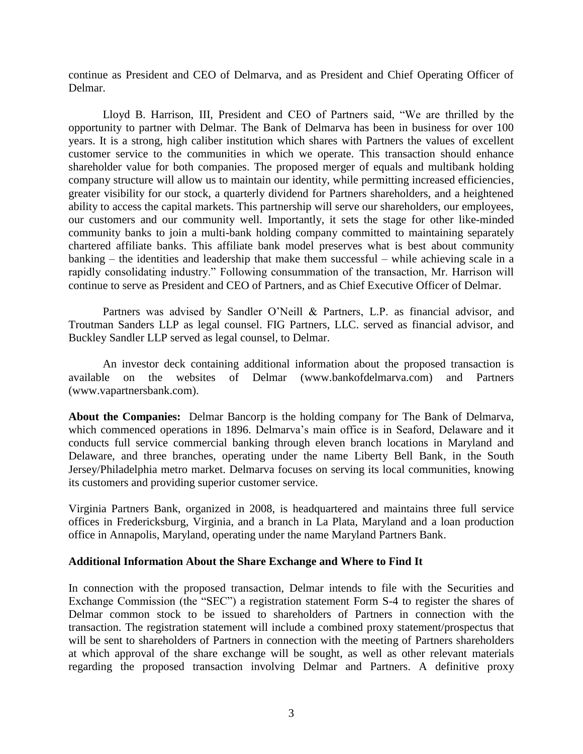continue as President and CEO of Delmarva, and as President and Chief Operating Officer of Delmar.

Lloyd B. Harrison, III, President and CEO of Partners said, "We are thrilled by the opportunity to partner with Delmar. The Bank of Delmarva has been in business for over 100 years. It is a strong, high caliber institution which shares with Partners the values of excellent customer service to the communities in which we operate. This transaction should enhance shareholder value for both companies. The proposed merger of equals and multibank holding company structure will allow us to maintain our identity, while permitting increased efficiencies, greater visibility for our stock, a quarterly dividend for Partners shareholders, and a heightened ability to access the capital markets. This partnership will serve our shareholders, our employees, our customers and our community well. Importantly, it sets the stage for other like-minded community banks to join a multi-bank holding company committed to maintaining separately chartered affiliate banks. This affiliate bank model preserves what is best about community banking – the identities and leadership that make them successful – while achieving scale in a rapidly consolidating industry." Following consummation of the transaction, Mr. Harrison will continue to serve as President and CEO of Partners, and as Chief Executive Officer of Delmar.

Partners was advised by Sandler O'Neill & Partners, L.P. as financial advisor, and Troutman Sanders LLP as legal counsel. FIG Partners, LLC. served as financial advisor, and Buckley Sandler LLP served as legal counsel, to Delmar.

An investor deck containing additional information about the proposed transaction is available on the websites of Delmar (www.bankofdelmarva.com) and Partners (www.vapartnersbank.com).

**About the Companies:** Delmar Bancorp is the holding company for The Bank of Delmarva, which commenced operations in 1896. Delmarva's main office is in Seaford, Delaware and it conducts full service commercial banking through eleven branch locations in Maryland and Delaware, and three branches, operating under the name Liberty Bell Bank, in the South Jersey/Philadelphia metro market. Delmarva focuses on serving its local communities, knowing its customers and providing superior customer service.

Virginia Partners Bank, organized in 2008, is headquartered and maintains three full service offices in Fredericksburg, Virginia, and a branch in La Plata, Maryland and a loan production office in Annapolis, Maryland, operating under the name Maryland Partners Bank.

## **Additional Information About the Share Exchange and Where to Find It**

In connection with the proposed transaction, Delmar intends to file with the Securities and Exchange Commission (the "SEC") a registration statement Form S-4 to register the shares of Delmar common stock to be issued to shareholders of Partners in connection with the transaction. The registration statement will include a combined proxy statement/prospectus that will be sent to shareholders of Partners in connection with the meeting of Partners shareholders at which approval of the share exchange will be sought, as well as other relevant materials regarding the proposed transaction involving Delmar and Partners. A definitive proxy